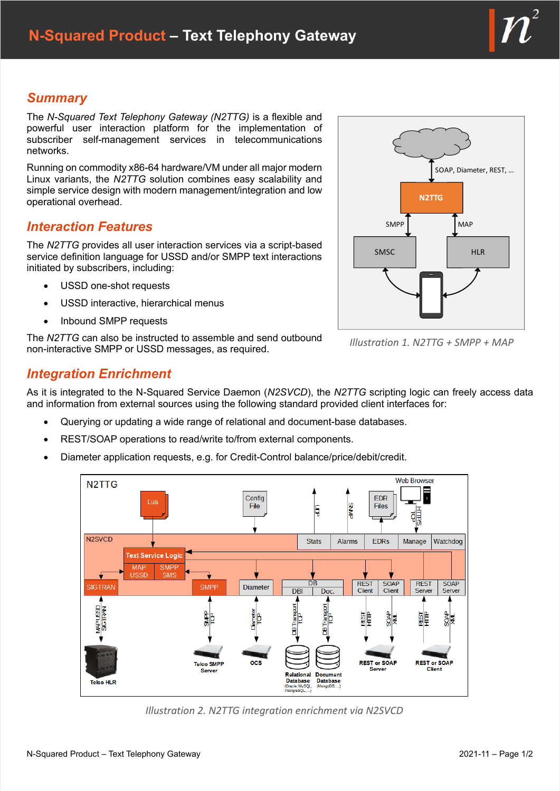# *Summary*

The *N-Squared Text Telephony Gateway (N2TTG)* is a flexible and powerful user interaction platform for the implementation of subscriber self-management services in telecommunications networks.

Running on commodity x86-64 hardware/VM under all major modern Linux variants, the *N2TTG* solution combines easy scalability and simple service design with modern management/integration and low operational overhead.

## *Interaction Features*

The *N2TTG* provides all user interaction services via a script-based service definition language for USSD and/or SMPP text interactions initiated by subscribers, including:

- USSD one-shot requests
- USSD interactive, hierarchical menus
- Inbound SMPP requests

The *N2TTG* can also be instructed to assemble and send outbound non-interactive SMPP or USSD messages, as required.

# *Integration Enrichment*

As it is integrated to the N-Squared Service Daemon (*N2SVCD*), the *N2TTG* scripting logic can freely access data and information from external sources using the following standard provided client interfaces for:

- Querying or updating a wide range of relational and document-base databases.
- REST/SOAP operations to read/write to/from external components.
- Diameter application requests, e.g. for Credit-Control balance/price/debit/credit.



*Illustration 2. N2TTG integration enrichment via N2SVCD*